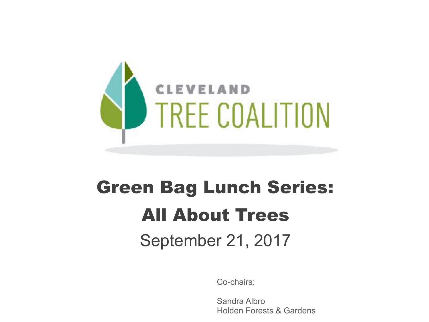

# Green Bag Lunch Series: All About Trees

### September 21, 2017

Co-chairs:

Sandra Albro Holden Forests & Gardens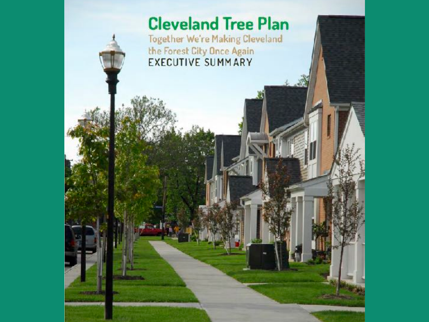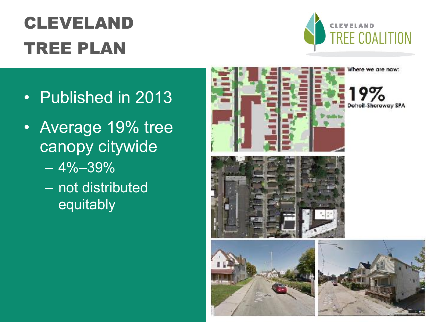## CLEVELAND TREE PLAN



- Published in 2013
- Average 19% tree canopy citywide
	- $-4\% 39\%$
	- not distributed equitably

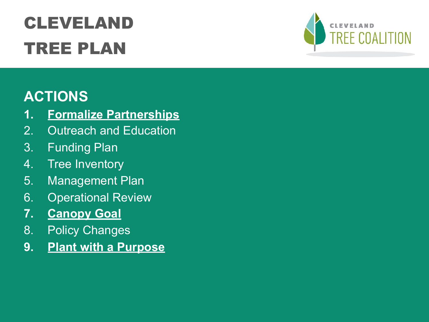## CLEVELAND TREE PLAN



#### **ACTIONS**

- **1. Formalize Partnerships**
- 2. Outreach and Education
- 3. Funding Plan
- 4. Tree Inventory
- 5. Management Plan
- 6. Operational Review
- **7. Canopy Goal**
- 8. Policy Changes
- **9. Plant with a Purpose**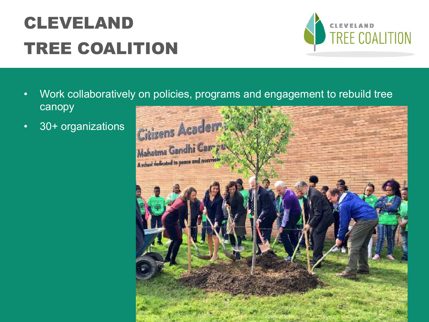### CLEVELAND TREE COALITION



- Work collaboratively on policies, programs and engagement to rebuild tree canopy
- 30+ organizations

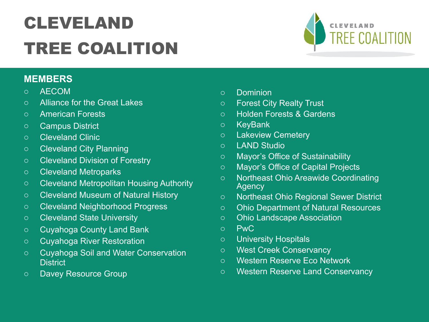### CLEVELAND TREE COALITION

#### **MEMBERS**

- o AECOM
- o Alliance for the Great Lakes
- o American Forests
- o Campus District
- o Cleveland Clinic
- o Cleveland City Planning
- o Cleveland Division of Forestry
- o Cleveland Metroparks
- o Cleveland Metropolitan Housing Authority
- o Cleveland Museum of Natural History
- o Cleveland Neighborhood Progress
- o Cleveland State University
- o Cuyahoga County Land Bank
- o Cuyahoga River Restoration
- o Cuyahoga Soil and Water Conservation **District**
- o Davey Resource Group
- o Dominion
- o Forest City Realty Trust
- o Holden Forests & Gardens
- o KeyBank
- o Lakeview Cemetery
- o LAND Studio
- o Mayor's Office of Sustainability
- o Mayor's Office of Capital Projects
- o Northeast Ohio Areawide Coordinating **Agency**
- o Northeast Ohio Regional Sewer District
- o Ohio Department of Natural Resources
- o Ohio Landscape Association
- o PwC
- o University Hospitals
- o West Creek Conservancy
- o Western Reserve Eco Network
- o Western Reserve Land Conservancy

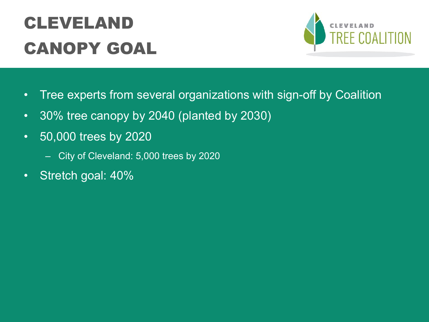### CLEVELAND CANOPY GOAL



- Tree experts from several organizations with sign-off by Coalition
- 30% tree canopy by 2040 (planted by 2030)
- 50,000 trees by 2020
	- City of Cleveland: 5,000 trees by 2020
- Stretch goal: 40%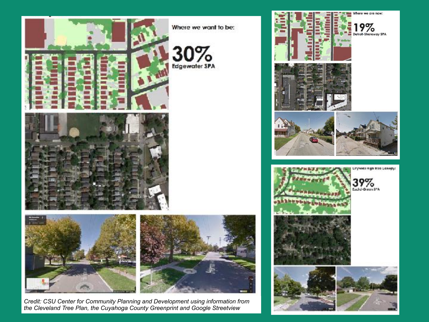

*Credit: CSU Center for Community Planning and Development using information from the Cleveland Tree Plan, the Cuyahoga County Greenprint and Google Streetview*

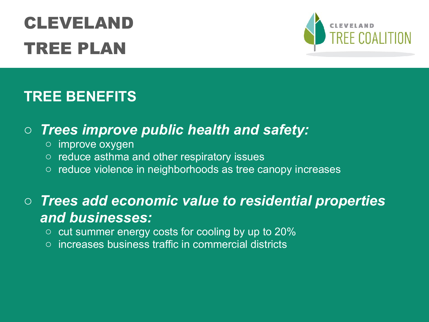## CLEVELAND TREE PLAN



#### **TREE BENEFITS**

#### o *Trees improve public health and safety:*

- o improve oxygen
- o reduce asthma and other respiratory issues
- o reduce violence in neighborhoods as tree canopy increases

#### o *Trees add economic value to residential properties and businesses:*

- $\circ$  cut summer energy costs for cooling by up to 20%
- o increases business traffic in commercial districts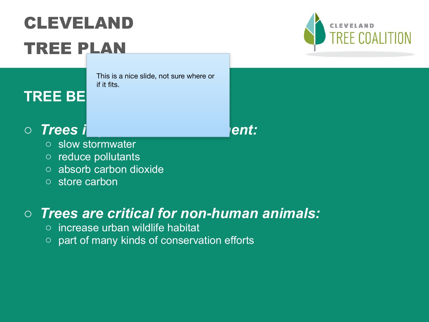## CLEVELAND TREE PLAN

This is a nice slide, not sure where or if it fits.

#### **TREE BE**

#### o *Trees improvement:*  $\rho$

- o slow stormwater
- o reduce pollutants
- o absorb carbon dioxide
- o store carbon

#### o *Trees are critical for non-human animals:*

- $\circ$  increase urban wildlife habitat
- $\circ$  part of many kinds of conservation efforts

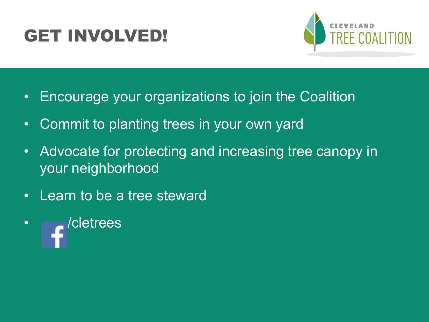### GET INVOLVED!



- Encourage your organizations to join the Coalition
- Commit to planting trees in your own yard
- Advocate for protecting and increasing tree canopy in your neighborhood
- Learn to be a tree steward
- *delectrees*